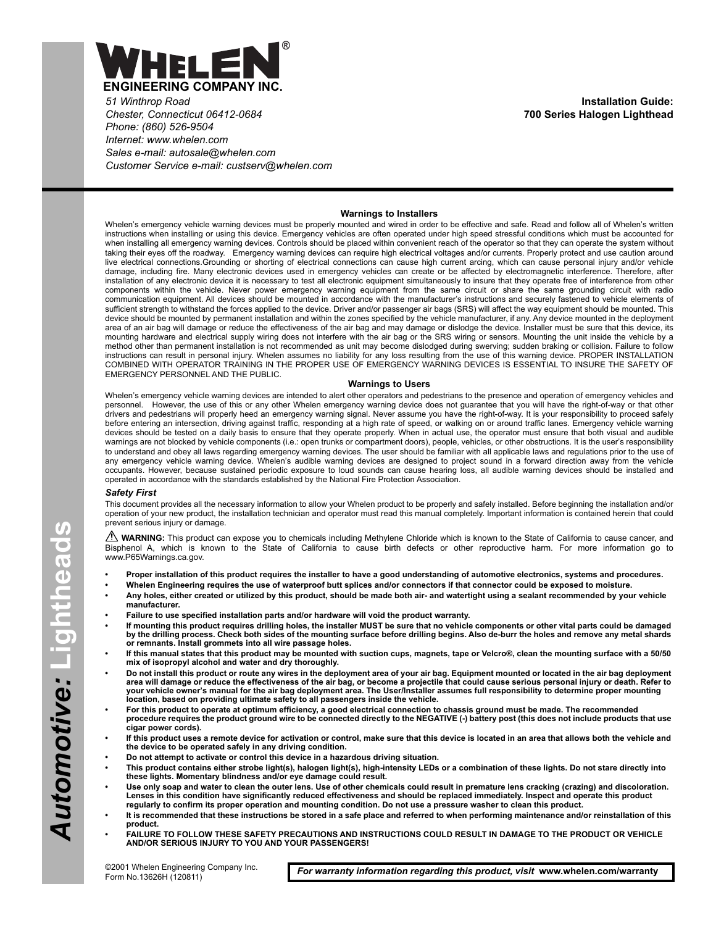

*51 Winthrop Road Chester, Connecticut 06412-0684 Phone: (860) 526-9504 Internet: www.whelen.com Sales e-mail: autosale@whelen.com Customer Service e-mail: custserv@whelen.com*

**Installation Guide: 700 Series Halogen Lighthead**

## **Warnings to Installers**

Whelen's emergency vehicle warning devices must be properly mounted and wired in order to be effective and safe. Read and follow all of Whelen's written instructions when installing or using this device. Emergency vehicles are often operated under high speed stressful conditions which must be accounted for when installing all emergency warning devices. Controls should be placed within convenient reach of the operator so that they can operate the system without taking their eyes off the roadway. Emergency warning devices can require high electrical voltages and/or currents. Properly protect and use caution around live electrical connections.Grounding or shorting of electrical connections can cause high current arcing, which can cause personal injury and/or vehicle damage, including fire. Many electronic devices used in emergency vehicles can create or be affected by electromagnetic interference. Therefore, after installation of any electronic device it is necessary to test all electronic equipment simultaneously to insure that they operate free of interference from other components within the vehicle. Never power emergency warning equipment from the same circuit or share the same grounding circuit with radio communication equipment. All devices should be mounted in accordance with the manufacturer's instructions and securely fastened to vehicle elements of sufficient strength to withstand the forces applied to the device. Driver and/or passenger air bags (SRS) will affect the way equipment should be mounted. This device should be mounted by permanent installation and within the zones specified by the vehicle manufacturer, if any. Any device mounted in the deployment area of an air bag will damage or reduce the effectiveness of the air bag and may damage or dislodge the device. Installer must be sure that this device, its mounting hardware and electrical supply wiring does not interfere with the air bag or the SRS wiring or sensors. Mounting the unit inside the vehicle by a method other than permanent installation is not recommended as unit may become dislodged during swerving; sudden braking or collision. Failure to follow instructions can result in personal injury. Whelen assumes no liability for any loss resulting from the use of this warning device. PROPER INSTALLATION COMBINED WITH OPERATOR TRAINING IN THE PROPER USE OF EMERGENCY WARNING DEVICES IS ESSENTIAL TO INSURE THE SAFETY OF EMERGENCY PERSONNEL AND THE PUBLIC.

## **Warnings to Users**

Whelen's emergency vehicle warning devices are intended to alert other operators and pedestrians to the presence and operation of emergency vehicles and personnel. However, the use of this or any other Whelen emergency warning device does not guarantee that you will have the right-of-way or that other drivers and pedestrians will properly heed an emergency warning signal. Never assume you have the right-of-way. It is your responsibility to proceed safely before entering an intersection, driving against traffic, responding at a high rate of speed, or walking on or around traffic lanes. Emergency vehicle warning devices should be tested on a daily basis to ensure that they operate properly. When in actual use, the operator must ensure that both visual and audible warnings are not blocked by vehicle components (i.e.: open trunks or compartment doors), people, vehicles, or other obstructions. It is the user's responsibility to understand and obey all laws regarding emergency warning devices. The user should be familiar with all applicable laws and regulations prior to the use of<br>any emergency vehicle warning device. Whelen's audible warning d occupants. However, because sustained periodic exposure to loud sounds can cause hearing loss, all audible warning devices should be installed and operated in accordance with the standards established by the National Fire Protection Association.

## *Safety First*

This document provides all the necessary information to allow your Whelen product to be properly and safely installed. Before beginning the installation and/or operation of your new product, the installation technician and operator must read this manual completely. Important information is contained herein that could prevent serious injury or damage.

WARNING: This product can expose you to chemicals including Methylene Chloride which is known to the State of California to cause cancer, and Bisphenol A, which is known to the State of California to cause birth defects or other reproductive harm. For more information go to www.P65Warnings.ca.gov.

- **Proper installation of this product requires the installer to have a good understanding of automotive electronics, systems and procedures.**
- **Whelen Engineering requires the use of waterproof butt splices and/or connectors if that connector could be exposed to moisture.**
- **Any holes, either created or utilized by this product, should be made both air- and watertight using a sealant recommended by your vehicle manufacturer.**
- **Failure to use specified installation parts and/or hardware will void the product warranty.**
- **If mounting this product requires drilling holes, the installer MUST be sure that no vehicle components or other vital parts could be damaged by the drilling process. Check both sides of the mounting surface before drilling begins. Also de-burr the holes and remove any metal shards or remnants. Install grommets into all wire passage holes.**
- **If this manual states that this product may be mounted with suction cups, magnets, tape or Velcro®, clean the mounting surface with a 50/50 mix of isopropyl alcohol and water and dry thoroughly.**
- **Do not install this product or route any wires in the deployment area of your air bag. Equipment mounted or located in the air bag deployment area will damage or reduce the effectiveness of the air bag, or become a projectile that could cause serious personal injury or death. Refer to your vehicle owner's manual for the air bag deployment area. The User/Installer assumes full responsibility to determine proper mounting location, based on providing ultimate safety to all passengers inside the vehicle.**
- **For this product to operate at optimum efficiency, a good electrical connection to chassis ground must be made. The recommended procedure requires the product ground wire to be connected directly to the NEGATIVE (-) battery post (this does not include products that use cigar power cords).**
- **If this product uses a remote device for activation or control, make sure that this device is located in an area that allows both the vehicle and the device to be operated safely in any driving condition.**
- **Do not attempt to activate or control this device in a hazardous driving situation.**
- **This product contains either strobe light(s), halogen light(s), high-intensity LEDs or a combination of these lights. Do not stare directly into these lights. Momentary blindness and/or eye damage could result.**
- **Use only soap and water to clean the outer lens. Use of other chemicals could result in premature lens cracking (crazing) and discoloration. Lenses in this condition have significantly reduced effectiveness and should be replaced immediately. Inspect and operate this product regularly to confirm its proper operation and mounting condition. Do not use a pressure washer to clean this product.**
- **It is recommended that these instructions be stored in a safe place and referred to when performing maintenance and/or reinstallation of this product.**
- **FAILURE TO FOLLOW THESE SAFETY PRECAUTIONS AND INSTRUCTIONS COULD RESULT IN DAMAGE TO THE PRODUCT OR VEHICLE AND/OR SERIOUS INJURY TO YOU AND YOUR PASSENGERS!**

©2001 Whelen Engineering Company Inc.<br>Form No.13626H (120811)

For warranty information regarding this product, visit www.whelen.com/warranty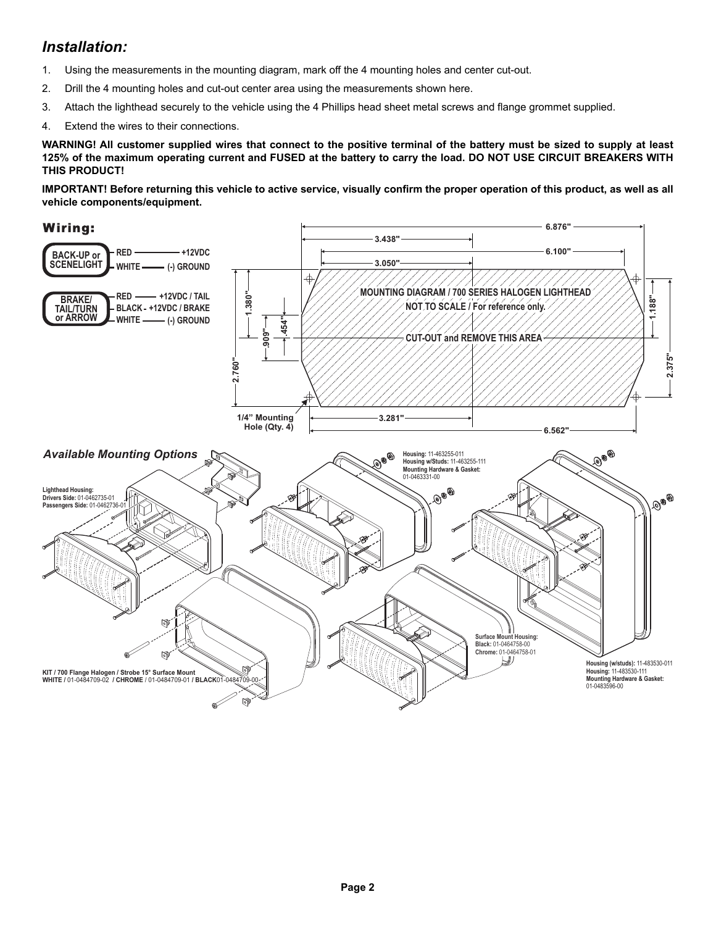## *Installation:*

- 1. Using the measurements in the mounting diagram, mark off the 4 mounting holes and center cut-out.
- 2. Drill the 4 mounting holes and cut-out center area using the measurements shown here.
- 3. Attach the lighthead securely to the vehicle using the 4 Phillips head sheet metal screws and flange grommet supplied.
- 4. Extend the wires to their connections.

**WARNING! All customer supplied wires that connect to the positive terminal of the battery must be sized to supply at least 125% of the maximum operating current and FUSED at the battery to carry the load. DO NOT USE CIRCUIT BREAKERS WITH THIS PRODUCT!**

**IMPORTANT! Before returning this vehicle to active service, visually confirm the proper operation of this product, as well as all vehicle components/equipment.**